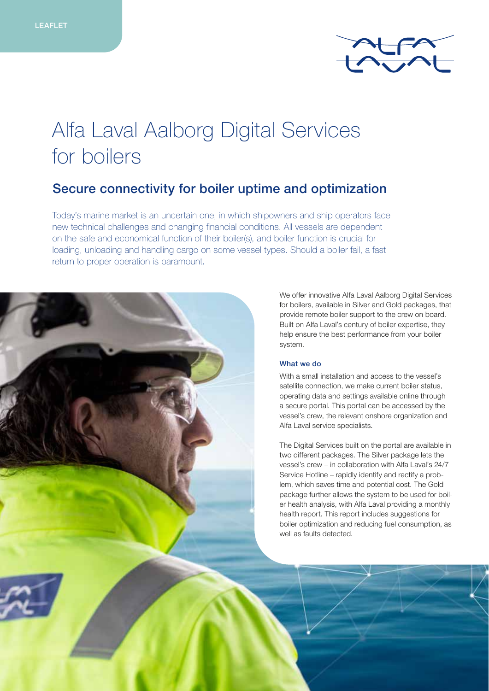

# Alfa Laval Aalborg Digital Services for boilers

# Secure connectivity for boiler uptime and optimization

Today's marine market is an uncertain one, in which shipowners and ship operators face new technical challenges and changing financial conditions. All vessels are dependent on the safe and economical function of their boiler(s), and boiler function is crucial for loading, unloading and handling cargo on some vessel types. Should a boiler fail, a fast return to proper operation is paramount.

> We offer innovative Alfa Laval Aalborg Digital Services for boilers, available in Silver and Gold packages, that provide remote boiler support to the crew on board. Built on Alfa Laval's century of boiler expertise, they help ensure the best performance from your boiler system.

## What we do

With a small installation and access to the vessel's satellite connection, we make current boiler status, operating data and settings available online through a secure portal. This portal can be accessed by the vessel's crew, the relevant onshore organization and Alfa Laval service specialists.

The Digital Services built on the portal are available in two different packages. The Silver package lets the vessel's crew – in collaboration with Alfa Laval's 24/7 Service Hotline – rapidly identify and rectify a problem, which saves time and potential cost. The Gold package further allows the system to be used for boiler health analysis, with Alfa Laval providing a monthly health report. This report includes suggestions for boiler optimization and reducing fuel consumption, as well as faults detected.